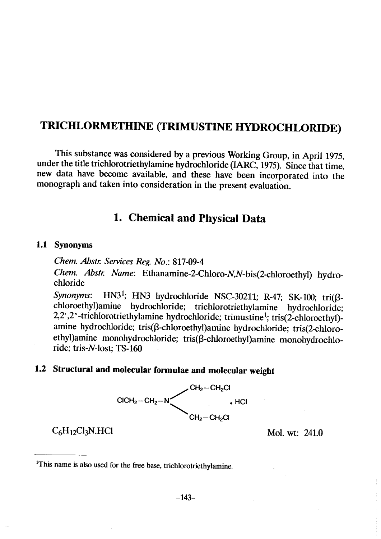# TRICHLORMETHINE (TRIMUSTINE HYDROCHLORIDE)

This substance was considered by a previous Working Group, in April 1975, under the title trichlorotriethylamine hydrochloride (IARC, 1975). Since that time, new data have beome available, and these have been incorporated into the monograph and taken into consideration in the present evaluation.

# 1. Chemical and Physical Data

#### 1.1 Synonyms

Chem. Abstr. Services Reg. No.: 817-09-4

Chem. Abstr. Name: Ethanamine-2-Chloro-N,N-bis(2-chloroethyl) hydrochloride

Synonyms: HN3<sup>1</sup>; HN3 hydrochloride NSC-30211; R-47; SK-100; tri $(\beta$ chloroethyl)amine hydrochloride; trichlorotriethylamine hydrochloride; 2,2' ,2" -trichlorotriethylamine hydrochloride; trimustine1; tris(2-chloroethyI) amine hydrochloride; tris(ß-chloroethyl)amine hydrochloride; tris(2-chloroethyl)amine monohydrochloride; tris(ß-chloroethyl)amine monohydrochloride; tris-N-Iost; TS- 160

# 1.2 Structural and molecular formulae and molecular weight



# $C_6H_{12}Cl_3N.HCl$  Mol. wt: 241.0

<sup>&</sup>lt;sup>1</sup>This name is also used for the free base, trichlorotriethylamine.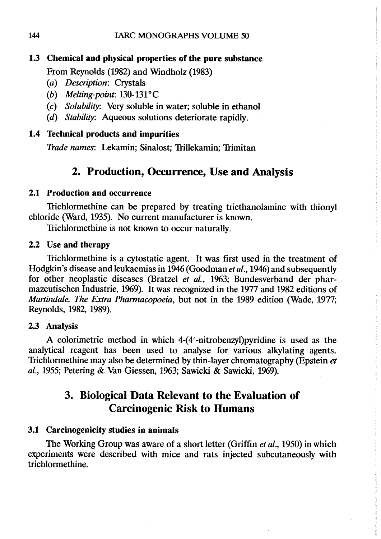# 1.3 Chemical and physical properties of the pure substance

From Reynolds (1982) and WIndholz (1983)

- (a) Description: Crystals
- (b) Melting-point: 130-131°C
- (c) Solubility: Very soluble in water; soluble in ethanol
- (d) Stability: Aqueous solutions deteriorate rapidly.

## 1.4 Technical products and impurities

Trade names: Lekamin; Sinalost; Trilekamin; Trimitan

# 2. Production, Occurrence, Use and Analysis

## 2.1 Production and occurrence

Trichlormethine can be prepared by treating triethanolamine with thionyl chloride (Ward, 1935). No current manufacturer is known.

Trichlormethine is not known to occur naturally.

## 2.2 Use and therapy

Trichlormethine is a cytostatic agent. It was first used in the treatment of Hodgkin's disease and leukaemias in 1946 (Goodman et al., 1946) and subsequently for other neoplastic diseases (Bratzel et al., 1963; Bundesverband der pharmazeutischen Industrie, 1969). It was recognized in the 1977 and 1982 editions of Martindale. The Extra Pharmacopoeia, but not in the 1989 edition (Wade, 1977; Reynolds, 1982, 1989).

## 2.3 Analysis

A colorimetric method in which 4-(4' -nitrobenzyl)pyridine is used as the analytical reagent has been used to analyse for various alkylating agents. Trichlormethine may also be determined by thin-Iayer chromatography (Epstein et aL., 1955; Petering & Van Giessen, 1963; Sawicki & Sawicki, 1969).

# 3. Biological Data Relevant to the Evaluation of **Carcinogenic Risk to Humans**

## 3.1 Carcinogenicity studies in animaIs

The Working Group was aware of a short letter (Griffin et al., 1950) in which experiments were described with mice and rats injected subcutaneously with trichlormethine.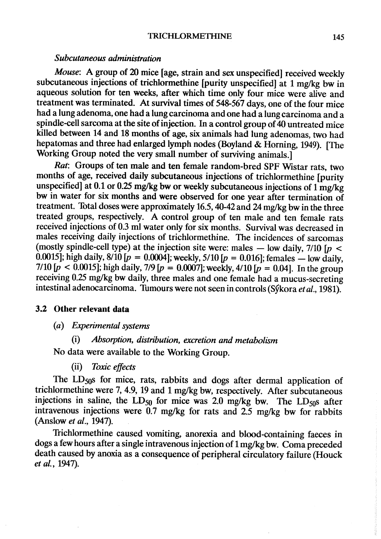#### Subcutaneous administration

Mouse: A group of 20 mice [age, strain and sex unspecified] received weekly subcutaneous injections of trichlormethine [purity unspecified] at 1 mg/kg bw in aqueous solution for ten weeks, after which time only four mice were alive and treatment was terminated. At survival times of  $548-567$  days, one of the four mice had a lung adenoma, one had a Iung carcinoma and one had a lung carcinoma and a spindle-cell sarcoma at the site of injection. In a control group of 40 untreated mice killed between 14 and 18 months of age, six animaIs had lung adenomas, two had hepatomas and three had enlarged lymph nodes (Boyland & Horning, 1949). (The Working Group noted the very small number of surviving animals.]

Rat: Groups of ten male and ten female random-bred SPF Wistar rats, two months of age, received daily subcutaneous injections of trichlormethine [purity unspecified) at 0.1 or 0.25 mg/kg bw or weekly subcutaneous injections of  $1 \text{ mg/kg}$ bw in water for six months and were observed for one year after termination of treatment. Total doses were approximately 16.5, 40-42 and 24 mg/kg bw in the three treated groups, respectively. A control group of ten male and ten female rats received injections of 0.3 ml water only for six months. Survival was decreased in males reciving daily injections of trichlormethine. The incidences of sarcomas (mostly spindle-cell type) at the injection site were: males  $-$  low daily, 7/10 [ $p$  < 0.0015]; high daily,  $8/10$  [ $p = 0.0004$ ]; weekly,  $5/10$  [ $p = 0.016$ ]; females — low daily, 7/10  $[p \le 0.0015]$ ; high daily, 7/9  $[p = 0.0007]$ ; weekly, 4/10  $[p = 0.04]$ . In the group receiving 0.25 mg/kg bw daily, three males and one female had a mucus-secreting intestinal adenocarcinoma. Tumours were not seen in controls (Sýkora et al., 1981).

#### 3.2 Other relevant data

- (a) Experimental systems
	- (i) Absorption, distribution, excretion and metabolism

No data were available to the Working Group.

(ii) Toxic effects

The  $LD<sub>50</sub>s$  for mice, rats, rabbits and dogs after dermal application of trichlormethine were 7, 4.9, 19 and 1 mg/kg bw, respectively. After subcutaneous injections in saline, the  $LD_{50}$  for mice was 2.0 mg/kg bw. The  $LD_{50}$ s after intravenous injections were  $0.7$  mg/kg for rats and  $2.5$  mg/kg bw for rabbits (Anslow et al., 1947).

Trichlormethine caused vomiting, anorexia and blood-containing faeces in dogs a few hours after a single intravenous injection of 1 mg/kg bw. Coma preceded death caused by anoxia as a consequence of peripheral circulatory failure (Houck et al., 1947).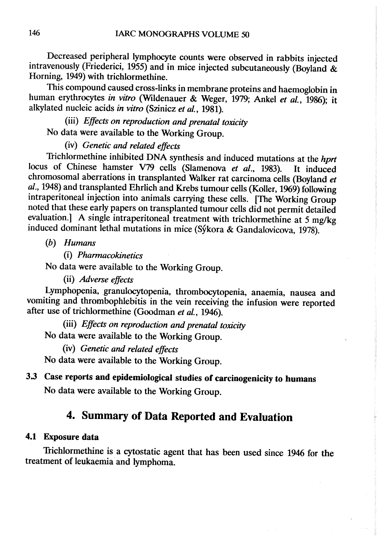Decreased peripheral lymphocyte counts were observed in rabbits injected intravenously (Friederici, 1955) and in mice injected subcutaneously (Boyland  $\&$ Horning, 1949) with trichlormethine.

This compound caused cross-links in membrane proteins and haemoglobin in human erythrocytes in vitro (Wildenauer & Weger, 1979; Ankel et al., 1986); it alkylated nucleic acids in vitro (Szinicz et al., 1981).

(ii) Effects on reproduction and prenatal toxicity

No data were available to the Working Group.

# (iv) Genetic and related effects

Trichlormethine inhibited DNA synthesis and induced mutations at the hprt locus of Chinese hamster V79 cells (Slamenova et al., 1983). It induced chromosomal aberrations in transplanted Walker rat carcinoma cells (Boyland et al., 1948) and transplanted Ehrlich and Krebs tumour cells (Koller, 1969) following intraperitoneal injection into animals carrying these cells. [The Working Group noted that these early papers on transplanted tumour cells did not permit detailed evaluation.) A single intraperitoneal treatment with trichlormethine at 5 mg/kg induced dominant lethal mutations in mice (Sýkora & Gandalovicova, 1978).

(h) Humans

(i) Pharmacokinetics

No data were available to the Working Group.

(ii) Adverse effects

Lymphopenia, granulocytopenia, thrombocytopenia, anaemia, nausea and vomiting and thrombophlebitis in the vein receiving the infusion were reported after use of trichlormethine (Goodman et al., 1946).

(ii) Effects on reproduction and prenatal toxicity

No data were available to the Working Group.

(iv) Genetic and related effects

No data were available to the Working Group.

# 3.3 Case reports and epidemiological studies of carcinogenicity to humans No data were available to the Working Group.

# 4. Summary of Data Reported and Evaluation

## 4.1 Exposure data

'fichlormethine is a cyostatic agent that has been used since 1946 for the treatment of leukaemia and lymphoma.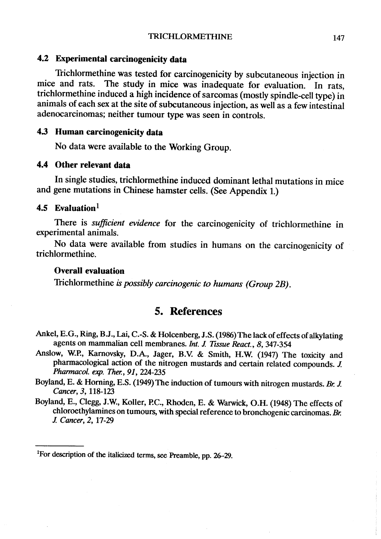#### 4.2 Experimental carcinogenicity data

Trichlormethine was tested for carcinogenicity by subcutaneous injection in mice and rats. The study in mice was inadequate for evaluation. In rats, trichlormethine induced a high incidence of sarcomas (mostly spindle-cell type) in animaIs of each sex at the site of subcutaneous injection, as well as a few intestinal adenocarcinomas; neither tumour type was seen in controls.

### 4.3 Human carcinogenicity data

No data were available to the Working Group.

# 4.4 Other relevant data

ln single studies, trichlormethine induced dominant lethal mutations in mice and gene mutations in Chinese hamster cells. (See Appendix 1.)

# 4.5 Evaluation $<sup>1</sup>$ </sup>

There is sufficient evidence for the carcinogenicity of trichlormethine in experimental animaIs.

No data were available from studies in humans on the carcinogenicity of trichlormethine.

# Overall evaluation

Trichlormethine is possibly carcinogenic to humans (Group 2B).

# 5. References

- Ankel, E.G., Ring, B.J., Lai, C.-S. & Holcenberg, J.S. (1986) The lack of effects of alkylating agents on mammalian cell membranes. Int. J. Tissue React., 8, 347-354
- Anslow, W.P., Karnovsky, D.A., Jager, B.V. & Smith, H.W. (1947) The toxicity and pharmacological action of the nitrogen mustards and certain related compounds. J. Pharmacol. exp. Ther., 91, 224-235
- Boyland, E. & Horning, E.S. (1949) The induction of tumours with nitrogen mustards. Br. J. Cancer, 3, 118-123
- Boyland, E., Clegg, J.W., Koller, P.C., Rhoden, E. & Warwick, O.H. (1948) The effects of chloroethylamines on tumours, with special reference to bronchogenic carcinomas. Br. J. Cancer, 2, 17-29

<sup>&</sup>lt;sup>1</sup>For description of the italicized terms, see Preamble, pp. 26-29.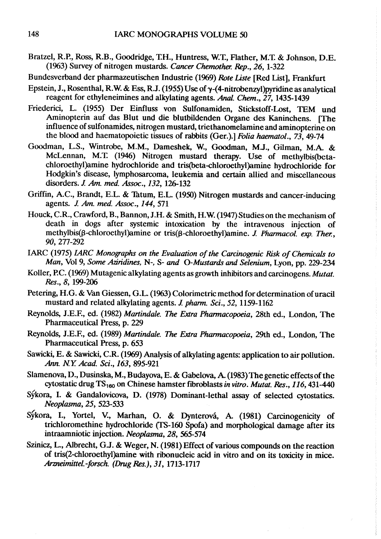Bratzel, R.P., Ross, R.B., Goodridge, T.H., Huntress, W.T., Flather, M.T. & Johnson, D.E. (1963) Survey of nitrogen mustards. Cancer Chemother. Rep., 26, 1-322

Bundesverband der pharmazeutischen Industrie (1969) Rote Liste [Red List], Frankfurt

- Epstein, J., Rosenthal, R.W. & Ess, R.J. (1955) Use of  $\gamma$ -(4-nitrobenzyl)pyridine as analytical reagent for ethyleneimines and alkylating agents. Anal. Chem., 27, 1435-1439
- Friederici, L. (1955) Der Einfluss von Sulfonamiden, Stickstoff-Lost, TEM und Aminopterin auf das Blut und die blutbildenden Organe des Kaninchens. [The influence of sulfonamides, nitrogen mustard, triethanomelamine and aminopterine on the blood and haematopoietic tissues of rabbits (Ger.).] Folia haematol., 73, 49-74
- Goodman, L.S., Wintrobe, M.M., Dameshek, W., Goodman, M.J., Gilman, M.A. & McLennan, M.L (1946) Nitrogen mustard therapy. Use of methylbis(betachloroethyl)amine hydrochloride and tris(beta-chloroethyl)amine hydrochloride for Hodgkin's disease, lymphosarcoma, leukemia and certain allied and miscellaneous disorders. J. Am. med. Assoc., 132, 126-132
- Grifin, A.C., Brandt, E.L. & Thtum, E.L. (1950) Nitrogen mustards and cancer-inducing agents. J. Am. med. Assoc., 144, 571
- Houck, C.R., Crawford, B., Bannon, J.H. & Smith, H.W. (1947) Studies on the mechanism of death in dogs after systemic intoxication by the intravenous injection of methylbis( $\beta$ -chloroethyl)amine or tris( $\beta$ -chloroethyl)amine. J. Pharmacol. exp. Ther., 90, 277-292
- IARC (1975) LARC Monographs on the Evaluation of the Carcinogenic Risk of Chemicals to Man, Vol 9, Some Aziridines, N-, S- and O-Mustards and Selenium, Lyon, pp. 229-234
- Koller, P.C. (1969) Mutagenic alkylating agents as growth inhibitors and carcinogens. Mutat. Res., 8, 199-206
- Petering, H.G. & Van Giessen, G.L. (1963) Colorimetric method for determination of uracil mustard and related alkylating agents. J. pharm. Sci., 52, 1159-1162
- Reynolds, J.E.F., ed. (1982) Martindale. The Extra Pharmacopoeia, 28th ed., London, The Pharmaceutical Press, p. 229
- Reynolds, J.E.F., ed. (1989) Martindale. The Extra Pharmacopoeia, 29th ed., London, The Pharmaceutical Press, p. 653
- Sawicki, E. & Sawicki, C.R. (1969) Analysis of alkylating agents: application to air pollution. An. NY. Acad. Sei., 163, 895-921
- Slamenova, D., Dusinska, M., Budayova, E. & Gabelova, A (1983) The genetic effects of the cytostatic drug  $TS<sub>180</sub>$  on Chinese hamster fibroblasts in vitro. Mutat. Res., 116, 431-440
- Sýkora, I. & Gandalovicova, D. (1978) Dominant-lethal assay of selected cytostatics. Neoplasma, 25, 523-533
- Sýkora, I., Yortel, V., Marhan, O. & Dynterová, A. (1981) Carcinogenicity of trichloromethine hydrochloride (fS-I60 Spofa) and morphological damage after its intraamniotic injection. Neoplasma, 28, 565-574
- Szinicz, L., Albrecht, G.J. & Weger, N. (1981) Effect of various compounds on the reaction of tris(2-chloroethyl)amine with ribonucleic acid in vitro and on its toxicity in mice. Arzneimittel.-forsch. (Drug Res.), 31, 1713-1717